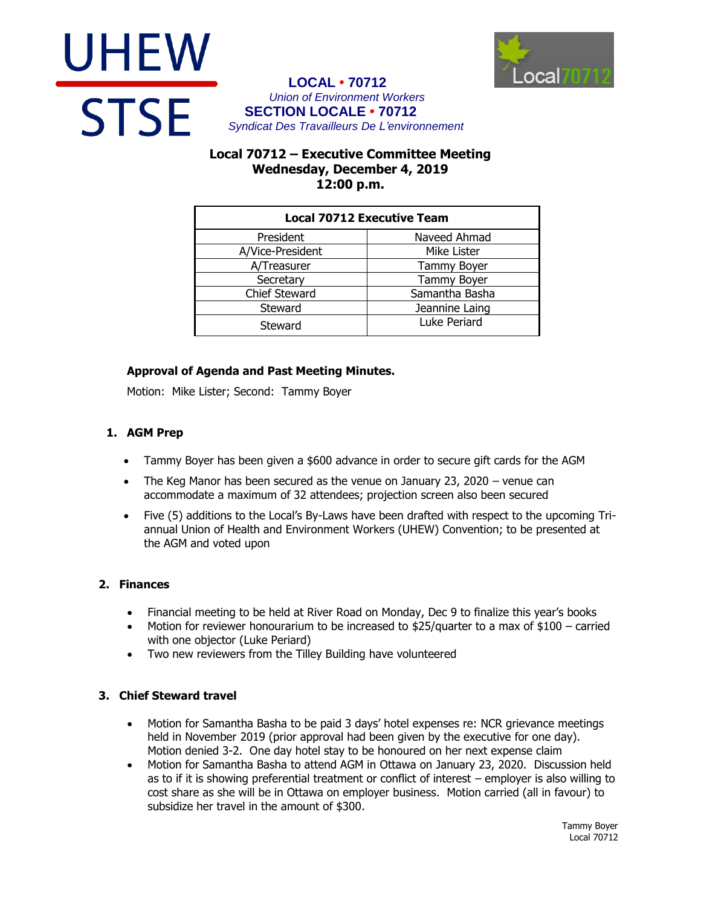



## **LOCAL • 70712** *Union of Environment Workers* **SECTION LOCALE • 70712** *Syndicat Des Travailleurs De L'environnement*

# **Local 70712 – Executive Committee Meeting Wednesday, December 4, 2019 12:00 p.m.**

| <b>Local 70712 Executive Team</b> |                    |
|-----------------------------------|--------------------|
| President                         | Naveed Ahmad       |
| A/Vice-President                  | Mike Lister        |
| A/Treasurer                       | Tammy Boyer        |
| Secretary                         | <b>Tammy Boyer</b> |
| <b>Chief Steward</b>              | Samantha Basha     |
| Steward                           | Jeannine Laing     |
| Steward                           | Luke Periard       |

# **Approval of Agenda and Past Meeting Minutes.**

Motion: Mike Lister; Second: Tammy Boyer

## **1. AGM Prep**

- Tammy Boyer has been given a \$600 advance in order to secure gift cards for the AGM
- The Keg Manor has been secured as the venue on January 23, 2020 venue can accommodate a maximum of 32 attendees; projection screen also been secured
- Five (5) additions to the Local's By-Laws have been drafted with respect to the upcoming Triannual Union of Health and Environment Workers (UHEW) Convention; to be presented at the AGM and voted upon

## **2. Finances**

- Financial meeting to be held at River Road on Monday, Dec 9 to finalize this year's books
- Motion for reviewer honourarium to be increased to  $$25/$ quarter to a max of  $$100 -$  carried with one objector (Luke Periard)
- Two new reviewers from the Tilley Building have volunteered

## **3. Chief Steward travel**

- Motion for Samantha Basha to be paid 3 days' hotel expenses re: NCR grievance meetings held in November 2019 (prior approval had been given by the executive for one day). Motion denied 3-2. One day hotel stay to be honoured on her next expense claim
- Motion for Samantha Basha to attend AGM in Ottawa on January 23, 2020. Discussion held as to if it is showing preferential treatment or conflict of interest – employer is also willing to cost share as she will be in Ottawa on employer business. Motion carried (all in favour) to subsidize her travel in the amount of \$300.